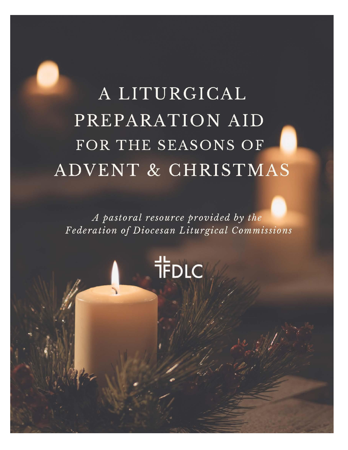# A LITURGICAL PREPARATION AID FOR THE SEASONS OF ADVENT & CHRISTMAS

A pastoral resource provided by the Federation of Diocesan Liturgical Commissions

TFDLC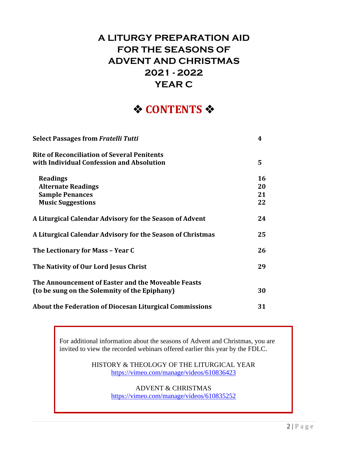# **A LITURGY PREPARATION AID FOR THE SEASONS OF ADVENT AND CHRISTMAS 2021 - 2022 YEAR C**

# ❖ **CONTENTS** ❖

| <b>Select Passages from Fratelli Tutti</b>                 |    |
|------------------------------------------------------------|----|
| <b>Rite of Reconciliation of Several Penitents</b>         |    |
| with Individual Confession and Absolution                  | 5  |
| <b>Readings</b>                                            | 16 |
| <b>Alternate Readings</b>                                  | 20 |
| <b>Sample Penances</b>                                     | 21 |
| <b>Music Suggestions</b>                                   | 22 |
| A Liturgical Calendar Advisory for the Season of Advent    | 24 |
| A Liturgical Calendar Advisory for the Season of Christmas | 25 |
| The Lectionary for Mass - Year C                           | 26 |
| The Nativity of Our Lord Jesus Christ                      | 29 |
| The Announcement of Easter and the Moveable Feasts         |    |
| (to be sung on the Solemnity of the Epiphany)              | 30 |
| About the Federation of Diocesan Liturgical Commissions    | 31 |

For additional information about the seasons of Advent and Christmas, you are invited to view the recorded webinars offered earlier this year by the FDLC.

> HISTORY & THEOLOGY OF THE LITURGICAL YEAR <https://vimeo.com/manage/videos/610836423>

> > ADVENT & CHRISTMAS <https://vimeo.com/manage/videos/610835252>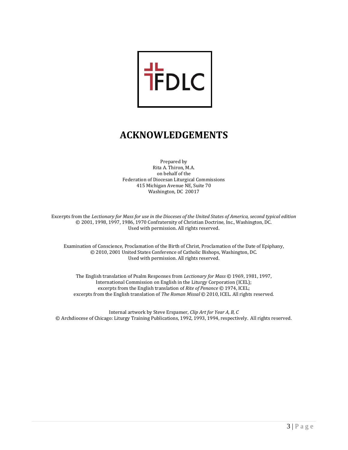

# **ACKNOWLEDGEMENTS**

Prepared by Rita A. Thiron, M.A. on behalf of the Federation of Diocesan Liturgical Commissions 415 Michigan Avenue NE, Suite 70 Washington, DC 20017

Excerpts from the *Lectionary for Mass for use in the Dioceses of the United States of America, second typical edition* © 2001, 1998, 1997, 1986, 1970 Confraternity of Christian Doctrine, Inc., Washington, DC. Used with permission. All rights reserved.

Examination of Conscience, Proclamation of the Birth of Christ, Proclamation of the Date of Epiphany, © 2010, 2001 United States Conference of Catholic Bishops, Washington, DC. Used with permission. All rights reserved.

The English translation of Psalm Responses from *Lectionary for Mass* © 1969, 1981, 1997, International Commission on English in the Liturgy Corporation (ICEL); excerpts from the English translation of *Rite of Penance* © 1974, ICEL; excerpts from the English translation of *The Roman Missal* © 2010, ICEL. All rights reserved.

Internal artwork by Steve Erspamer, *Clip Art for Year A, B, C* © Archdiocese of Chicago: Liturgy Training Publications, 1992, 1993, 1994, respectively. All rights reserved.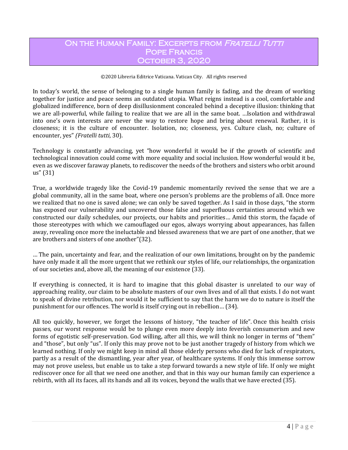#### On the Human Family: Excerpts from *Fratelli Tutti* Pope Francis October 3, 2020

©2020 Libreria Editrice Vaticana. Vatican City. All rights reserved

In today's world, the sense of belonging to a single human family is fading, and the dream of working together for justice and peace seems an outdated utopia. What reigns instead is a cool, comfortable and globalized indifference, born of deep disillusionment concealed behind a deceptive illusion: thinking that we are all-powerful, while failing to realize that we are all in the same boat. …Isolation and withdrawal into one's own interests are never the way to restore hope and bring about renewal. Rather, it is closeness; it is the culture of encounter. Isolation, no; closeness, yes. Culture clash, no; culture of encounter, yes" *(Fratelli tutti*, 30).

Technology is constantly advancing, yet "how wonderful it would be if the growth of scientific and technological innovation could come with more equality and social inclusion. How wonderful would it be, even as we discover faraway planets, to rediscover the needs of the brothers and sisters who orbit around us" (31)

True, a worldwide tragedy like the Covid-19 pandemic momentarily revived the sense that we are a global community, all in the same boat, where one person's problems are the problems of all. Once more we realized that no one is saved alone; we can only be saved together. As I said in those days, "the storm has exposed our vulnerability and uncovered those false and superfluous certainties around which we constructed our daily schedules, our projects, our habits and priorities… Amid this storm, the façade of those stereotypes with which we camouflaged our egos, always worrying about appearances, has fallen away, revealing once more the ineluctable and blessed awareness that we are part of one another, that we are brothers and sisters of one another"(32).

… The pain, uncertainty and fear, and the realization of our own limitations, brought on by the pandemic have only made it all the more urgent that we rethink our styles of life, our relationships, the organization of our societies and, above all, the meaning of our existence (33).

If everything is connected, it is hard to imagine that this global disaster is unrelated to our way of approaching reality, our claim to be absolute masters of our own lives and of all that exists. I do not want to speak of divine retribution, nor would it be sufficient to say that the harm we do to nature is itself the punishment for our offences. The world is itself crying out in rebellion… (34).

All too quickly, however, we forget the lessons of history, "the teacher of life". Once this health crisis passes, our worst response would be to plunge even more deeply into feverish consumerism and new forms of egotistic self-preservation. God willing, after all this, we will think no longer in terms of "them" and "those", but only "us". If only this may prove not to be just another tragedy of history from which we learned nothing. If only we might keep in mind all those elderly persons who died for lack of respirators, partly as a result of the dismantling, year after year, of healthcare systems. If only this immense sorrow may not prove useless, but enable us to take a step forward towards a new style of life. If only we might rediscover once for all that we need one another, and that in this way our human family can experience a rebirth, with all its faces, all its hands and all its voices, beyond the walls that we have erected (35).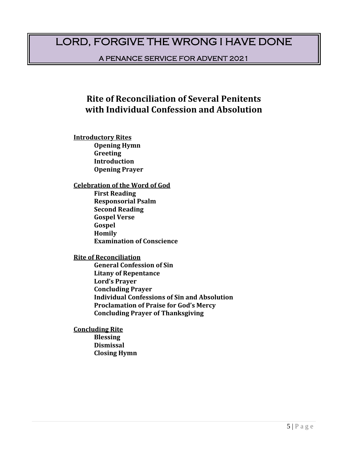# LORD, FORGIVE THE WRONG I HAVE DONE

#### A PENANCE SERVICE FOR ADVENT 2021

# **Rite of Reconciliation of Several Penitents with Individual Confession and Absolution**

**Introductory Rites Opening Hymn Greeting Introduction Opening Prayer**

#### **Celebration of the Word of God**

**First Reading Responsorial Psalm Second Reading Gospel Verse Gospel Homily Examination of Conscience**

#### **Rite of Reconciliation**

**General Confession of Sin Litany of Repentance Lord's Prayer Concluding Prayer Individual Confessions of Sin and Absolution Proclamation of Praise for God's Mercy Concluding Prayer of Thanksgiving**

**Concluding Rite Blessing Dismissal Closing Hymn**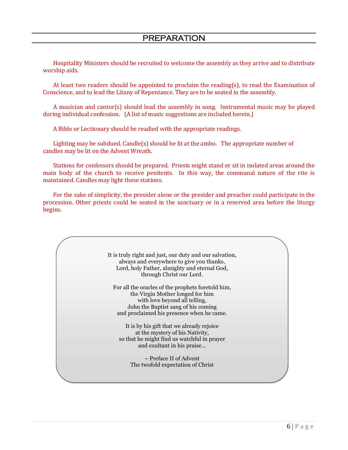Hospitality Ministers should be recruited to welcome the assembly as they arrive and to distribute worship aids.

At least two readers should be appointed to proclaim the reading(s), to read the Examination of Conscience, and to lead the Litany of Repentance. They are to be seated in the assembly.

A musician and cantor(s) should lead the assembly in song. Instrumental music may be played during individual confession. (A list of music suggestions are included herein.)

A Bible or Lectionary should be readied with the appropriate readings.

Lighting may be subdued. Candle(s) should be lit at the ambo. The appropriate number of candles may be lit on the Advent Wreath.

Stations for confessors should be prepared. Priests might stand or sit in isolated areas around the main body of the church to receive penitents. In this way, the communal nature of the rite is maintained. Candles may light these stations.

For the sake of simplicity, the presider alone or the presider and preacher could participate in the procession. Other priests could be seated in the sanctuary or in a reserved area before the liturgy begins.

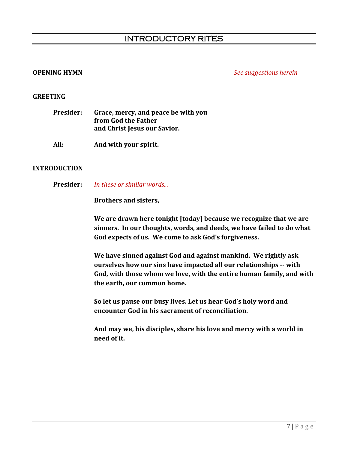**OPENING HYMN** *See suggestions herein*

#### **GREETING**

| Presider: | Grace, mercy, and peace be with you |
|-----------|-------------------------------------|
|           | from God the Father                 |
|           | and Christ Jesus our Savior.        |
|           |                                     |

**All: And with your spirit.**

#### **INTRODUCTION**

**Presider:** *In these or similar words...*

**Brothers and sisters,**

**We are drawn here tonight [today] because we recognize that we are sinners. In our thoughts, words, and deeds, we have failed to do what God expects of us. We come to ask God's forgiveness.** 

**We have sinned against God and against mankind. We rightly ask ourselves how our sins have impacted all our relationships -- with God, with those whom we love, with the entire human family, and with the earth, our common home.** 

**So let us pause our busy lives. Let us hear God's holy word and encounter God in his sacrament of reconciliation.** 

**And may we, his disciples, share his love and mercy with a world in need of it.**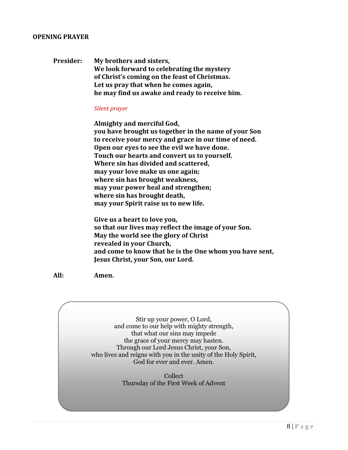#### **OPENING PRAYER**

**Presider: My brothers and sisters, We look forward to celebrating the mystery of Christ's coming on the feast of Christmas. Let us pray that when he comes again, he may find us awake and ready to receive him.** 

#### *Silent prayer*

**Almighty and merciful God, you have brought us together in the name of your Son to receive your mercy and grace in our time of need. Open our eyes to see the evil we have done. Touch our hearts and convert us to yourself. Where sin has divided and scattered, may your love make us one again; where sin has brought weakness, may your power heal and strengthen; where sin has brought death, may your Spirit raise us to new life.** 

**Give us a heart to love you, so that our lives may reflect the image of your Son. May the world see the glory of Christ revealed in your Church, and come to know that he is the One whom you have sent, Jesus Christ, your Son, our Lord.**

**All: Amen.**

Stir up your power, O Lord, and come to our help with mighty strength, that what our sins may impede the grace of your mercy may hasten. Through our Lord Jesus Christ, your Son, who lives and reigns with you in the unity of the Holy Spirit, God for ever and ever. Amen.

> Collect Thursday of the First Week of Advent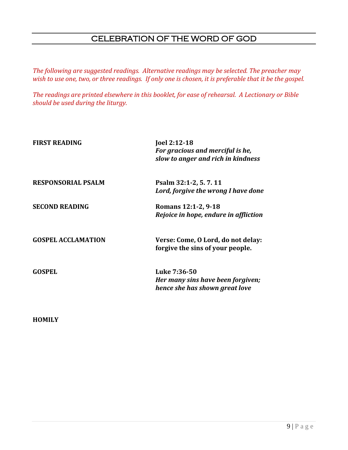# CELEBRATION OF THE WORD OF GOD

*The following are suggested readings. Alternative readings may be selected. The preacher may wish to use one, two, or three readings. If only one is chosen, it is preferable that it be the gospel.* 

*The readings are printed elsewhere in this booklet, for ease of rehearsal. A Lectionary or Bible should be used during the liturgy.*

| <b>FIRST READING</b>      | Joel 2:12-18<br>For gracious and merciful is he,<br>slow to anger and rich in kindness |
|---------------------------|----------------------------------------------------------------------------------------|
| <b>RESPONSORIAL PSALM</b> | Psalm 32:1-2, 5.7.11<br>Lord, forgive the wrong I have done                            |
| <b>SECOND READING</b>     | Romans 12:1-2, 9-18<br>Rejoice in hope, endure in affliction                           |
| <b>GOSPEL ACCLAMATION</b> | Verse: Come, O Lord, do not delay:<br>forgive the sins of your people.                 |
| GOSPEL                    | Luke 7:36-50<br>Her many sins have been forgiven;<br>hence she has shown great love    |

**HOMILY**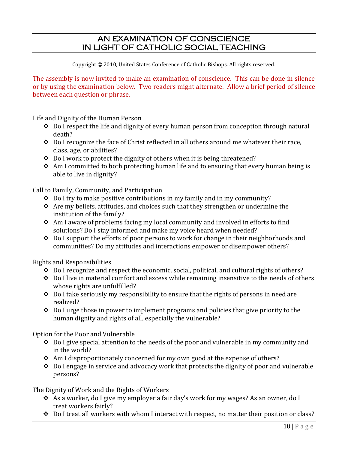# AN EXAMINATION OF CONSCIENCE IN LIGHT OF CATHOLIC SOCIAL TEACHING

Copyright © 2010, United States Conference of Catholic Bishops. All rights reserved.

The assembly is now invited to make an examination of conscience. This can be done in silence or by using the examination below. Two readers might alternate. Allow a brief period of silence between each question or phrase.

Life and Dignity of the Human Person

- ❖ Do I respect the life and dignity of every human person from conception through natural death?
- ❖ Do I recognize the face of Christ reflected in all others around me whatever their race, class, age, or abilities?
- ❖ Do I work to protect the dignity of others when it is being threatened?
- ◆ Am I committed to both protecting human life and to ensuring that every human being is able to live in dignity?

Call to Family, Community, and Participation

- ❖ Do I try to make positive contributions in my family and in my community?
- ❖ Are my beliefs, attitudes, and choices such that they strengthen or undermine the institution of the family?
- ❖ Am I aware of problems facing my local community and involved in efforts to find solutions? Do I stay informed and make my voice heard when needed?
- ❖ Do I support the efforts of poor persons to work for change in their neighborhoods and communities? Do my attitudes and interactions empower or disempower others?

Rights and Responsibilities

- $\bullet$  Do I recognize and respect the economic, social, political, and cultural rights of others?
- $\triangle$  Do I live in material comfort and excess while remaining insensitive to the needs of others whose rights are unfulfilled?
- $\cdot$  Do I take seriously my responsibility to ensure that the rights of persons in need are realized?
- $\triangle$  Do I urge those in power to implement programs and policies that give priority to the human dignity and rights of all, especially the vulnerable?

Option for the Poor and Vulnerable

- ◆ Do I give special attention to the needs of the poor and vulnerable in my community and in the world?
- ❖ Am I disproportionately concerned for my own good at the expense of others?
- ❖ Do I engage in service and advocacy work that protects the dignity of poor and vulnerable persons?

The Dignity of Work and the Rights of Workers

- ❖ As a worker, do I give my employer a fair day's work for my wages? As an owner, do I treat workers fairly?
- ❖ Do I treat all workers with whom I interact with respect, no matter their position or class?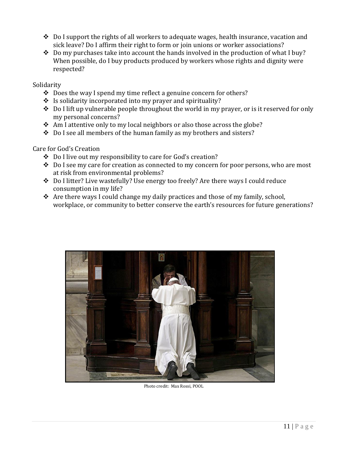- ❖ Do I support the rights of all workers to adequate wages, health insurance, vacation and sick leave? Do I affirm their right to form or join unions or worker associations?
- ❖ Do my purchases take into account the hands involved in the production of what I buy? When possible, do I buy products produced by workers whose rights and dignity were respected?

Solidarity

- ❖ Does the way I spend my time reflect a genuine concern for others?
- $\triangleq$  Is solidarity incorporated into my prayer and spirituality?
- $\bullet$  Do I lift up vulnerable people throughout the world in my prayer, or is it reserved for only my personal concerns?
- ❖ Am I attentive only to my local neighbors or also those across the globe?
- ❖ Do I see all members of the human family as my brothers and sisters?

Care for God's Creation

- ❖ Do I live out my responsibility to care for God's creation?
- ❖ Do I see my care for creation as connected to my concern for poor persons, who are most at risk from environmental problems?
- ❖ Do I litter? Live wastefully? Use energy too freely? Are there ways I could reduce consumption in my life?
- ❖ Are there ways I could change my daily practices and those of my family, school, workplace, or community to better conserve the earth's resources for future generations?



Photo credit: Max Rossi, POOL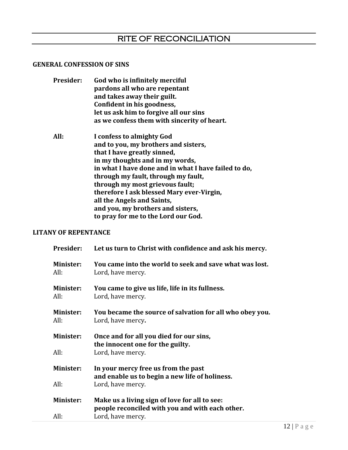# RITE OF RECONCILIATION

#### **GENERAL CONFESSION OF SINS**

| <b>Presider:</b> | God who is infinitely merciful<br>pardons all who are repentant<br>and takes away their guilt.<br>Confident in his goodness,                                                                                                                                                                                                                                                                                                 |
|------------------|------------------------------------------------------------------------------------------------------------------------------------------------------------------------------------------------------------------------------------------------------------------------------------------------------------------------------------------------------------------------------------------------------------------------------|
|                  | let us ask him to forgive all our sins<br>as we confess them with sincerity of heart.                                                                                                                                                                                                                                                                                                                                        |
| All:             | I confess to almighty God<br>and to you, my brothers and sisters,<br>that I have greatly sinned,<br>in my thoughts and in my words,<br>in what I have done and in what I have failed to do,<br>through my fault, through my fault,<br>through my most grievous fault;<br>therefore I ask blessed Mary ever-Virgin,<br>all the Angels and Saints,<br>and you, my brothers and sisters,<br>to pray for me to the Lord our God. |
|                  |                                                                                                                                                                                                                                                                                                                                                                                                                              |

#### **LITANY OF REPENTANCE**

| Presider:                | Let us turn to Christ with confidence and ask his mercy.                                         |
|--------------------------|--------------------------------------------------------------------------------------------------|
| <b>Minister:</b><br>All: | You came into the world to seek and save what was lost.<br>Lord, have mercy.                     |
| <b>Minister:</b><br>All: | You came to give us life, life in its fullness.<br>Lord, have mercy.                             |
| <b>Minister:</b><br>All: | You became the source of salvation for all who obey you.<br>Lord, have mercy.                    |
| <b>Minister:</b>         | Once and for all you died for our sins,<br>the innocent one for the guilty.                      |
| All:                     | Lord, have mercy.                                                                                |
| <b>Minister:</b>         | In your mercy free us from the past<br>and enable us to begin a new life of holiness.            |
| All:                     | Lord, have mercy.                                                                                |
| <b>Minister:</b>         | Make us a living sign of love for all to see:<br>people reconciled with you and with each other. |
| All:                     | Lord, have mercy.                                                                                |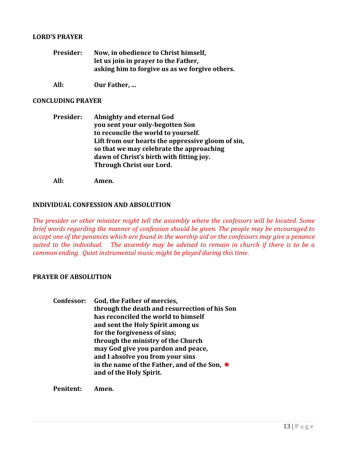#### **LORD'S PRAYER**

| <b>Presider:</b> | Now, in obedience to Christ himself,           |
|------------------|------------------------------------------------|
|                  | let us join in prayer to the Father,           |
|                  | asking him to forgive us as we forgive others. |

**All: Our Father, ...**

#### **CONCLUDING PRAYER**

| <b>Presider:</b> | <b>Almighty and eternal God</b>                   |
|------------------|---------------------------------------------------|
|                  | you sent your only-begotten Son                   |
|                  | to reconcile the world to yourself.               |
|                  | Lift from our hearts the oppressive gloom of sin, |
|                  | so that we may celebrate the approaching          |
|                  | dawn of Christ's birth with fitting joy.          |
|                  | Through Christ our Lord.                          |
|                  |                                                   |

**All: Amen.**

#### **INDIVIDUAL CONFESSION AND ABSOLUTION**

*The presider or other minister might tell the assembly where the confessors will be located. Some brief words regarding the manner of confession should be given. The people may be encouraged to accept one of the penances which are found in the worship aid or the confessors may give a penance suited to the individual. The assembly may be advised to remain in church if there is to be a common ending. Quiet instrumental music might be played during this time*.

#### **PRAYER OF ABSOLUTION**

**Confessor: God, the Father of mercies, through the death and resurrection of his Son has reconciled the world to himself and sent the Holy Spirit among us for the forgiveness of sins; through the ministry of the Church may God give you pardon and peace, and I absolve you from your sins in the name of the Father, and of the Son, and of the Holy Spirit.**

**Penitent: Amen.**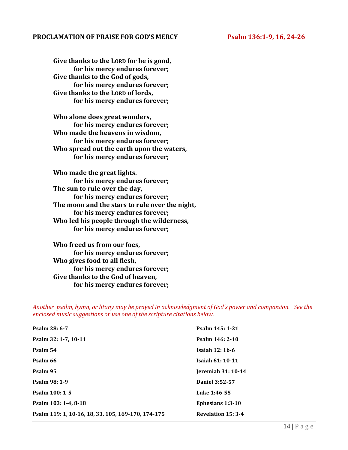#### **PROCLAMATION OF PRAISE FOR GOD'S MERCY Psalm 136:1-9, 16, 24-26**

**Give thanks to the LORD for he is good, for his mercy endures forever; Give thanks to the God of gods, for his mercy endures forever; Give thanks to the LORD of lords, for his mercy endures forever;**

**Who alone does great wonders, for his mercy endures forever; Who made the heavens in wisdom, for his mercy endures forever; Who spread out the earth upon the waters, for his mercy endures forever;**

**Who made the great lights. for his mercy endures forever; The sun to rule over the day, for his mercy endures forever; The moon and the stars to rule over the night, for his mercy endures forever; Who led his people through the wilderness, for his mercy endures forever;**

**Who freed us from our foes, for his mercy endures forever; Who gives food to all flesh, for his mercy endures forever; Give thanks to the God of heaven, for his mercy endures forever;**

*Another psalm, hymn, or litany may be prayed in acknowledgment of God's power and compassion. See the enclosed music suggestions or use one of the scripture citations below.*

| Psalm 28: 6-7                                      | Psalm 145: 1-21           |
|----------------------------------------------------|---------------------------|
| Psalm 32: 1-7, 10-11                               | Psalm 146: 2-10           |
| Psalm 54                                           | Isaiah $12:1b-6$          |
| Psalm 66                                           | <b>Isaiah 61: 10-11</b>   |
| Psalm 95                                           | <b>Jeremiah 31: 10-14</b> |
| Psalm 98: 1-9                                      | Daniel 3:52-57            |
| Psalm 100: 1-5                                     | Luke 1:46-55              |
| Psalm 103: 1-4, 8-18                               | <b>Ephesians 1:3-10</b>   |
| Psalm 119: 1, 10-16, 18, 33, 105, 169-170, 174-175 | <b>Revelation 15: 3-4</b> |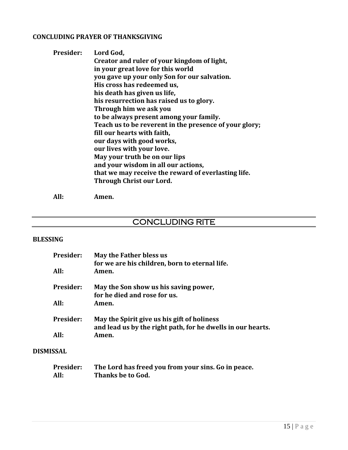#### **CONCLUDING PRAYER OF THANKSGIVING**

| Presider: | Lord God,                                              |
|-----------|--------------------------------------------------------|
|           | Creator and ruler of your kingdom of light,            |
|           | in your great love for this world                      |
|           | you gave up your only Son for our salvation.           |
|           | His cross has redeemed us,                             |
|           | his death has given us life,                           |
|           | his resurrection has raised us to glory.               |
|           | Through him we ask you                                 |
|           | to be always present among your family.                |
|           | Teach us to be reverent in the presence of your glory; |
|           | fill our hearts with faith,                            |
|           | our days with good works,                              |
|           | our lives with your love.                              |
|           | May your truth be on our lips                          |
|           | and your wisdom in all our actions,                    |
|           | that we may receive the reward of everlasting life.    |
|           | Through Christ our Lord.                               |

**All: Amen.**

# CONCLUDING RITE

#### **BLESSING**

| Presider: | May the Father bless us<br>for we are his children, born to eternal life.                                  |
|-----------|------------------------------------------------------------------------------------------------------------|
| All:      | Amen.                                                                                                      |
| Presider: | May the Son show us his saving power,<br>for he died and rose for us.                                      |
| All:      | Amen.                                                                                                      |
| Presider: | May the Spirit give us his gift of holiness<br>and lead us by the right path, for he dwells in our hearts. |
| All:      | Amen.                                                                                                      |

### **DISMISSAL**

| Presider: | The Lord has freed you from your sins. Go in peace. |
|-----------|-----------------------------------------------------|
| All:      | Thanks be to God.                                   |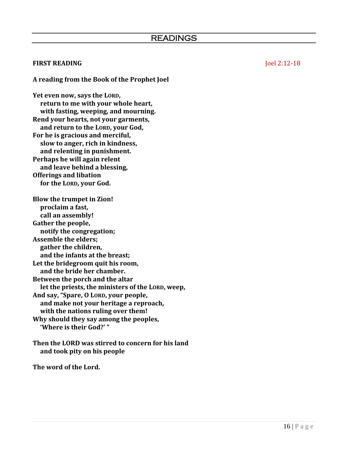#### **FIRST READING Joel 2:12-18**

**A reading from the Book of the Prophet Joel**

**Yet even now, says the LORD, return to me with your whole heart, with fasting, weeping, and mourning. Rend your hearts, not your garments, and return to the LORD, your God, For he is gracious and merciful, slow to anger, rich in kindness, and relenting in punishment. Perhaps he will again relent and leave behind a blessing, Offerings and libation for the LORD, your God.** 

**Blow the trumpet in Zion! proclaim a fast, call an assembly! Gather the people, notify the congregation; Assemble the elders; gather the children, and the infants at the breast; Let the bridegroom quit his room, and the bride her chamber. Between the porch and the altar let the priests, the ministers of the LORD, weep, And say, "Spare, O LORD, your people, and make not your heritage a reproach, with the nations ruling over them! Why should they say among the peoples, 'Where is their God?' "** 

**Then the LORD was stirred to concern for his land and took pity on his people**

**The word of the Lord.**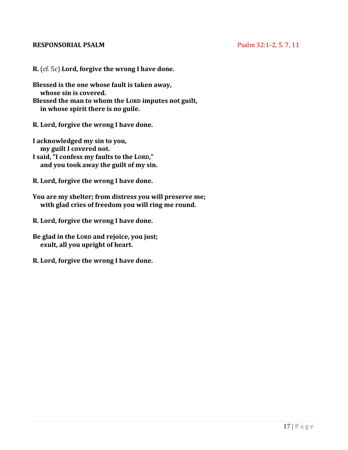#### **RESPONSORIAL PSALM PSALM PSALM PSALM PSALM PSALM PSALM PSALM PSALM PSALM PSALM PSALM**

- **R.** (cf. 5c) **Lord, forgive the wrong I have done.**
- **Blessed is the one whose fault is taken away, whose sin is covered.**
- **Blessed the man to whom the LORD imputes not guilt, in whose spirit there is no guile.**
- **R. Lord, forgive the wrong I have done.**
- **I acknowledged my sin to you, my guilt I covered not. I said, "I confess my faults to the LORD," and you took away the guilt of my sin.**
- **R. Lord, forgive the wrong I have done.**
- **You are my shelter; from distress you will preserve me; with glad cries of freedom you will ring me round.**
- **R. Lord, forgive the wrong I have done.**
- **Be glad in the LORD and rejoice, you just; exult, all you upright of heart.**
- **R. Lord, forgive the wrong I have done.**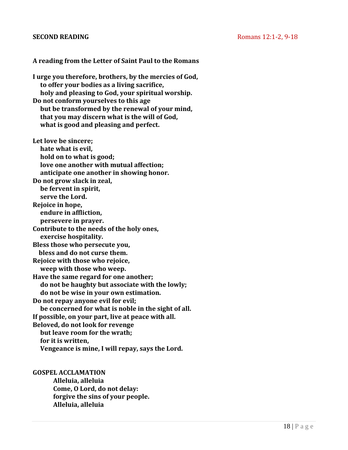**A reading from the Letter of Saint Paul to the Romans**

**I urge you therefore, brothers, by the mercies of God, to offer your bodies as a living sacrifice, holy and pleasing to God, your spiritual worship. Do not conform yourselves to this age but be transformed by the renewal of your mind, that you may discern what is the will of God, what is good and pleasing and perfect. Let love be sincere; hate what is evil, hold on to what is good; love one another with mutual affection; anticipate one another in showing honor. Do not grow slack in zeal, be fervent in spirit, serve the Lord. Rejoice in hope, endure in affliction, persevere in prayer. Contribute to the needs of the holy ones, exercise hospitality. Bless those who persecute you, bless and do not curse them. Rejoice with those who rejoice, weep with those who weep. Have the same regard for one another; do not be haughty but associate with the lowly; do not be wise in your own estimation. Do not repay anyone evil for evil; be concerned for what is noble in the sight of all. If possible, on your part, live at peace with all. Beloved, do not look for revenge but leave room for the wrath; for it is written,** 

 **Vengeance is mine, I will repay, says the Lord.**

#### **GOSPEL ACCLAMATION**

**Alleluia, alleluia Come, O Lord, do not delay: forgive the sins of your people. Alleluia, alleluia**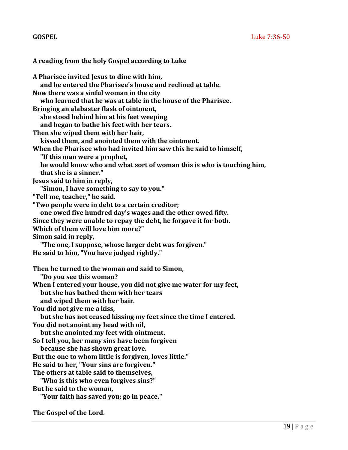**A reading from the holy Gospel according to Luke A Pharisee invited Jesus to dine with him, and he entered the Pharisee's house and reclined at table. Now there was a sinful woman in the city who learned that he was at table in the house of the Pharisee. Bringing an alabaster flask of ointment, she stood behind him at his feet weeping and began to bathe his feet with her tears. Then she wiped them with her hair, kissed them, and anointed them with the ointment. When the Pharisee who had invited him saw this he said to himself, "If this man were a prophet, he would know who and what sort of woman this is who is touching him, that she is a sinner." Jesus said to him in reply, "Simon, I have something to say to you." "Tell me, teacher," he said. "Two people were in debt to a certain creditor; one owed five hundred day's wages and the other owed fifty. Since they were unable to repay the debt, he forgave it for both. Which of them will love him more?" Simon said in reply, "The one, I suppose, whose larger debt was forgiven." He said to him, "You have judged rightly." Then he turned to the woman and said to Simon, "Do you see this woman? When I entered your house, you did not give me water for my feet, but she has bathed them with her tears and wiped them with her hair. You did not give me a kiss, but she has not ceased kissing my feet since the time I entered. You did not anoint my head with oil, but she anointed my feet with ointment. So I tell you, her many sins have been forgiven because she has shown great love. But the one to whom little is forgiven, loves little." He said to her, "Your sins are forgiven." The others at table said to themselves, "Who is this who even forgives sins?" But he said to the woman, "Your faith has saved you; go in peace."**

**The Gospel of the Lord.**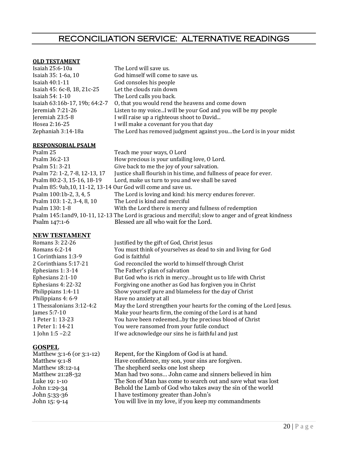# RECONCILIATION SERVICE: ALTERNATIVE READINGS

#### **OLD TESTAMENT**

| Isaiah $25:6-10a$             | The Lord will save us.                                             |
|-------------------------------|--------------------------------------------------------------------|
| Isaiah 35: 1-6a, 10           | God himself will come to save us.                                  |
| Isaiah 40:1-11                | God consoles his people                                            |
| Isaiah 45: 6c-8, 18, 21c-25   | Let the clouds rain down                                           |
| Isaiah 54: 1-10               | The Lord calls you back.                                           |
| Isaiah 63:16b-17, 19b; 64:2-7 | O, that you would rend the heavens and come down                   |
| Jeremiah 7:21-26              | Listen to my voiceI will be your God and you will be my people     |
| Jeremiah 23:5-8               | I will raise up a righteous shoot to David                         |
| Hosea 2:16-25                 | I will make a covenant for you that day                            |
| Zephaniah 3:14-18a            | The Lord has removed judgment against youthe Lord is in your midst |
|                               |                                                                    |

#### **RESPONSORIAL PSALM**

| Psalm 25                                                       | Teach me your ways, O Lord                                                                           |
|----------------------------------------------------------------|------------------------------------------------------------------------------------------------------|
| Psalm 36:2-13                                                  | How precious is your unfailing love, O Lord.                                                         |
| Psalm 51: 3-21                                                 | Give back to me the joy of your salvation.                                                           |
| Psalm 72: 1-2, 7-8, 12-13, 17                                  | Justice shall flourish in his time, and fullness of peace for ever.                                  |
| Psalm 80:2-3, 15-16, 18-19                                     | Lord, make us turn to you and we shall be saved                                                      |
| Psalm 85: 9ab, 10, 11-12, 13-14 Our God will come and save us. |                                                                                                      |
| Psalm 100:1b-2, 3, 4, 5                                        | The Lord is loving and kind: his mercy endures forever.                                              |
| Psalm 103: 1-2, 3-4, 8, 10                                     | The Lord is kind and merciful                                                                        |
| Psalm 130: 1-8                                                 | With the Lord there is mercy and fullness of redemption                                              |
|                                                                | Psalm 145:1and9, 10-11, 12-13 The Lord is gracious and merciful; slow to anger and of great kindness |
| Psalm 147:1-6                                                  | Blessed are all who wait for the Lord.                                                               |

#### **NEW TESTAMENT**

| Romans 3: 22-26          | Justified by the gift of God, Christ Jesus                            |
|--------------------------|-----------------------------------------------------------------------|
| Romans 6:2-14            | You must think of yourselves as dead to sin and living for God        |
| 1 Corinthians 1:3-9      | God is faithful                                                       |
| 2 Corinthians 5:17-21    | God reconciled the world to himself through Christ                    |
| Ephesians 1: 3-14        | The Father's plan of salvation                                        |
| Ephesians 2:1-10         | But God who is rich in mercybrought us to life with Christ            |
| Ephesians 4: 22-32       | Forgiving one another as God has forgiven you in Christ               |
| Philippians 1:4-11       | Show yourself pure and blameless for the day of Christ                |
| Philippians 4: 6-9       | Have no anxiety at all                                                |
| 1 Thessalonians 3:12-4:2 | May the Lord strengthen your hearts for the coming of the Lord Jesus. |
| James 5:7-10             | Make your hearts firm, the coming of the Lord is at hand              |
| 1 Peter 1: 13-23         | You have been redeemedby the precious blood of Christ                 |
| 1 Peter 1: 14-21         | You were ransomed from your futile conduct                            |
| 1 John $1:5 - 2:2$       | If we acknowledge our sins he is faithful and just                    |
|                          |                                                                       |

#### **GOSPEL**

| Matthew 3:1-6 (or $3:1-12$ ) | Repent, for the Kingdom of God is at hand.                   |
|------------------------------|--------------------------------------------------------------|
| Matthew 9:1-8                | Have confidence, my son, your sins are forgiven.             |
| Matthew 18:12-14             | The shepherd seeks one lost sheep                            |
| Matthew 21:28-32             | Man had two sons John came and sinners believed in him       |
| Luke 19: 1-10                | The Son of Man has come to search out and save what was lost |
| John 1:29-34                 | Behold the Lamb of God who takes away the sin of the world   |
| John 5:33-36                 | I have testimony greater than John's                         |
| John 15: 9-14                | You will live in my love, if you keep my commandments        |
|                              |                                                              |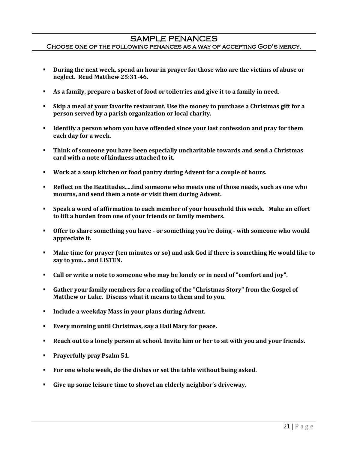#### SAMPLE PENANCES Choose one of the following penances as a way of accepting God's mercy.

- **During the next week, spend an hour in prayer for those who are the victims of abuse or neglect. Read Matthew 25:31-46.**
- **As a family, prepare a basket of food or toiletries and give it to a family in need.**
- **Skip a meal at your favorite restaurant. Use the money to purchase a Christmas gift for a person served by a parish organization or local charity.**
- **Identify a person whom you have offended since your last confession and pray for them each day for a week.**
- **Think of someone you have been especially uncharitable towards and send a Christmas card with a note of kindness attached to it.**
- **Work at a soup kitchen or food pantry during Advent for a couple of hours.**
- **Reflect on the Beatitudes.....find someone who meets one of those needs, such as one who mourns, and send them a note or visit them during Advent.**
- **Speak a word of affirmation to each member of your household this week. Make an effort to lift a burden from one of your friends or family members.**
- **Offer to share something you have - or something you're doing - with someone who would appreciate it.**
- **Make time for prayer (ten minutes or so) and ask God if there is something He would like to say to you... and LISTEN.**
- **Call or write a note to someone who may be lonely or in need of "comfort and joy".**
- **Gather your family members for a reading of the "Christmas Story" from the Gospel of Matthew or Luke. Discuss what it means to them and to you.**
- **Include a weekday Mass in your plans during Advent.**
- **Every morning until Christmas, say a Hail Mary for peace.**
- **Reach out to a lonely person at school. Invite him or her to sit with you and your friends.**
- **Prayerfully pray Psalm 51.**
- **For one whole week, do the dishes or set the table without being asked.**
- **Give up some leisure time to shovel an elderly neighbor's driveway.**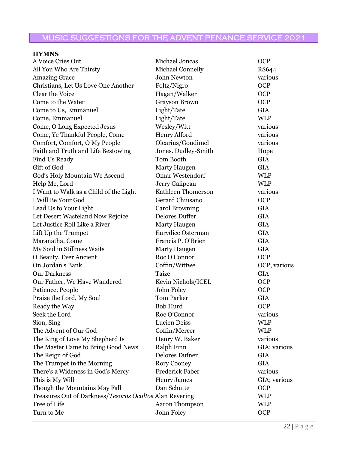# MUSIC SUGGESTIONS FOR THE ADVENT PENANCE SERVICE 2021

#### **HYMNS**

| <b>Michael Connelly</b><br>All You Who Are Thirsty<br><b>RS644</b><br><b>John Newton</b><br><b>Amazing Grace</b><br>various |              |
|-----------------------------------------------------------------------------------------------------------------------------|--------------|
|                                                                                                                             |              |
|                                                                                                                             |              |
| Foltz/Nigro<br><b>OCP</b><br>Christians, Let Us Love One Another                                                            |              |
| <b>Clear the Voice</b><br>Hagan/Walker<br><b>OCP</b>                                                                        |              |
| <b>Grayson Brown</b><br>Come to the Water<br><b>OCP</b>                                                                     |              |
| <b>GIA</b><br>Light/Tate<br>Come to Us, Emmanuel                                                                            |              |
| Light/Tate<br>Come, Emmanuel<br><b>WLP</b>                                                                                  |              |
| Wesley/Witt<br>Come, O Long Expected Jesus<br>various                                                                       |              |
| Come, Ye Thankful People, Come<br>Henry Alford<br>various                                                                   |              |
| Olearius/Goudimel<br>Comfort, Comfort, O My People<br>various                                                               |              |
| Faith and Truth and Life Bestowing<br>Jones. Dudley-Smith<br>Hope                                                           |              |
| Find Us Ready<br>Tom Booth<br><b>GIA</b>                                                                                    |              |
| Gift of God<br><b>Marty Haugen</b><br><b>GIA</b>                                                                            |              |
| <b>Omar Westendorf</b><br>God's Holy Mountain We Ascend<br><b>WLP</b>                                                       |              |
| Help Me, Lord<br>Jerry Galipeau<br><b>WLP</b>                                                                               |              |
| Kathleen Thomerson<br>various<br>I Want to Walk as a Child of the Light                                                     |              |
| I Will Be Your God<br>Gerard Chiusano<br><b>OCP</b>                                                                         |              |
| Lead Us to Your Light<br><b>Carol Browning</b><br><b>GIA</b>                                                                |              |
| <b>Delores Duffer</b><br>Let Desert Wasteland Now Rejoice<br><b>GIA</b>                                                     |              |
| Let Justice Roll Like a River<br><b>GIA</b><br><b>Marty Haugen</b>                                                          |              |
| Eurydice Osterman<br><b>GIA</b><br>Lift Up the Trumpet                                                                      |              |
| Francis P. O'Brien<br><b>GIA</b><br>Maranatha, Come                                                                         |              |
| My Soul in Stillness Waits<br><b>GIA</b><br><b>Marty Haugen</b>                                                             |              |
| Roc O'Connor<br>O Beauty, Ever Ancient<br><b>OCP</b>                                                                        |              |
| On Jordan's Bank<br>Coffin/Wittwe                                                                                           | OCP, various |
| <b>Our Darkness</b><br>Taize<br><b>GIA</b>                                                                                  |              |
| Our Father, We Have Wandered<br>Kevin Nichols/ICEL<br><b>OCP</b>                                                            |              |
| Patience, People<br>John Foley<br><b>OCP</b>                                                                                |              |
| Praise the Lord, My Soul<br><b>Tom Parker</b><br><b>GIA</b>                                                                 |              |
| Ready the Way<br><b>Bob Hurd</b><br><b>OCP</b>                                                                              |              |
| Seek the Lord<br>Roc O'Connor<br>various                                                                                    |              |
| Sion, Sing<br><b>Lucien Deiss</b><br><b>WLP</b>                                                                             |              |
| The Advent of Our God<br>Coffin/Mercer<br><b>WLP</b>                                                                        |              |
| The King of Love My Shepherd Is<br>Henry W. Baker<br>various                                                                |              |
| Ralph Finn<br>The Master Came to Bring Good News                                                                            | GIA; various |
| The Reign of God<br><b>Delores Dufner</b><br><b>GIA</b>                                                                     |              |
| The Trumpet in the Morning<br><b>GIA</b><br><b>Rory Cooney</b>                                                              |              |
| various<br>There's a Wideness in God's Mercy<br><b>Frederick Faber</b>                                                      |              |
| This is My Will<br><b>Henry James</b>                                                                                       | GIA; various |
| Though the Mountains May Fall<br>Dan Schutte<br><b>OCP</b>                                                                  |              |
| Treasures Out of Darkness/Tesoros Ocultos Alan Revering<br><b>WLP</b>                                                       |              |
| Tree of Life<br>Aaron Thompson<br><b>WLP</b>                                                                                |              |
| John Foley<br>Turn to Me<br><b>OCP</b>                                                                                      |              |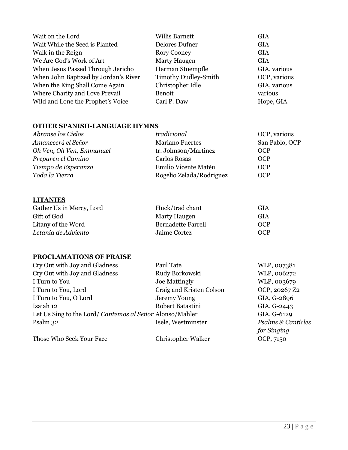| Wait on the Lord                     | <b>Willis Barnett</b>       | <b>GIA</b>   |
|--------------------------------------|-----------------------------|--------------|
| Wait While the Seed is Planted       | <b>Delores Dufner</b>       | GIA          |
| Walk in the Reign                    | <b>Rory Cooney</b>          | <b>GIA</b>   |
| We Are God's Work of Art             | <b>Marty Haugen</b>         | <b>GIA</b>   |
| When Jesus Passed Through Jericho    | Herman Stuempfle            | GIA, various |
| When John Baptized by Jordan's River | <b>Timothy Dudley-Smith</b> | OCP, various |
| When the King Shall Come Again       | Christopher Idle            | GIA, various |
| Where Charity and Love Prevail       | Benoit                      | various      |
| Wild and Lone the Prophet's Voice    | Carl P. Daw                 | Hope, GIA    |

#### **OTHER SPANISH-LANGUAGE HYMNS**

| Abranse los Cielos       | tradicional              | OCP, various   |
|--------------------------|--------------------------|----------------|
| Amanecerá el Señor       | <b>Mariano Fuertes</b>   | San Pablo, OCP |
| Oh Ven, Oh Ven, Emmanuel | tr. Johnson/Martinez     | OCP            |
| Preparen el Camino       | <b>Carlos Rosas</b>      | <b>OCP</b>     |
| Tiempo de Esperanza      | Emilio Vicente Matéu     | <b>OCP</b>     |
| Toda la Tierra           | Rogelio Zelada/Rodriguez | <b>OCP</b>     |
|                          |                          |                |

#### **LITANIES**

| Gather Us in Mercy, Lord | Huck/trad chant           | GIA        |
|--------------------------|---------------------------|------------|
| Gift of God              | Marty Haugen              | GIA        |
| Litany of the Word       | <b>Bernadette Farrell</b> | <b>OCP</b> |
| Letania de Adviento      | Jaime Cortez              | OCP        |

#### **PROCLAMATIONS OF PRAISE**

| Cry Out with Joy and Gladness                            | Paul Tate                 | WLP, 007381                   |
|----------------------------------------------------------|---------------------------|-------------------------------|
| Cry Out with Joy and Gladness                            | Rudy Borkowski            | WLP, 006272                   |
| I Turn to You                                            | Joe Mattingly             | WLP, 003679                   |
| I Turn to You, Lord                                      | Craig and Kristen Colson  | OCP, 20267 Z2                 |
| I Turn to You, O Lord                                    | Jeremy Young              | GIA, G-2896                   |
| Isaiah 12                                                | Robert Batastini          | GIA, G-2443                   |
| Let Us Sing to the Lord/ Cantemos al Señor Alonso/Mahler |                           | GIA, G-6129                   |
| Psalm 32                                                 | Isele, Westminster        | <b>Psalms &amp; Canticles</b> |
|                                                          |                           | for Singing                   |
| Those Who Seek Your Face                                 | <b>Christopher Walker</b> | OCP, 7150                     |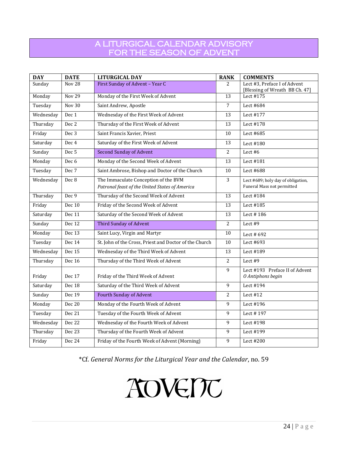### A LITURGICAL CALENDAR ADVISORY FOR THE SEASON OF ADVENT

| <b>DAY</b> | <b>DATE</b>      | <b>LITURGICAL DAY</b>                                                                  | <b>RANK</b>     | <b>COMMENTS</b>                                                  |
|------------|------------------|----------------------------------------------------------------------------------------|-----------------|------------------------------------------------------------------|
| Sunday     | <b>Nov 28</b>    | First Sunday of Advent - Year C                                                        | 2               | Lect #3, Preface I of Advent<br>[Blessing of Wreath BB Ch. 47]   |
| Monday     | <b>Nov 29</b>    | Monday of the First Week of Advent                                                     | $\overline{13}$ | Lect #175                                                        |
| Tuesday    | <b>Nov 30</b>    | Saint Andrew, Apostle                                                                  | 7               | Lect #684                                                        |
| Wednesday  | Dec 1            | Wednesday of the First Week of Advent                                                  | $\overline{13}$ | Lect #177                                                        |
| Thursday   | Dec 2            | Thursday of the First Week of Advent                                                   | 13              | Lect #178                                                        |
| Friday     | Dec <sub>3</sub> | Saint Francis Xavier, Priest                                                           | 10              | Lect #685                                                        |
| Saturday   | Dec <sub>4</sub> | Saturday of the First Week of Advent                                                   | 13              | Lect #180                                                        |
| Sunday     | Dec <sub>5</sub> | <b>Second Sunday of Advent</b>                                                         | $\overline{2}$  | Lect #6                                                          |
| Monday     | Dec 6            | Monday of the Second Week of Advent                                                    | 13              | Lect #181                                                        |
| Tuesday    | Dec 7            | Saint Ambrose, Bishop and Doctor of the Church                                         | 10              | Lect #688                                                        |
| Wednesday  | Dec 8            | The Immaculate Conception of the BVM<br>Patronal feast of the United States of America | 3               | Lect #689; holy day of obligation,<br>Funeral Mass not permitted |
|            |                  |                                                                                        |                 |                                                                  |
| Thursday   | Dec 9            | Thursday of the Second Week of Advent                                                  | 13              | Lect #184                                                        |
| Friday     | Dec $10$         | Friday of the Second Week of Advent                                                    | 13              | Lect #185                                                        |
| Saturday   | Dec 11           | Saturday of the Second Week of Advent                                                  | 13              | Lect #186                                                        |
| Sunday     | Dec 12           | <b>Third Sunday of Advent</b>                                                          | $\overline{2}$  | Lect #9                                                          |
| Monday     | Dec 13           | Saint Lucy, Virgin and Martyr                                                          | 10              | Lect $#692$                                                      |
| Tuesday    | Dec 14           | St. John of the Cross, Priest and Doctor of the Church                                 | $\overline{10}$ | Lect #693                                                        |
| Wednesday  | Dec 15           | Wednesday of the Third Week of Advent                                                  | 13              | Lect #189                                                        |
| Thursday   | Dec 16           | Thursday of the Third Week of Advent                                                   | 2               | Lect #9                                                          |
| Friday     | Dec 17           | Friday of the Third Week of Advent                                                     | $\overline{9}$  | Lect #193 Preface II of Advent<br>O Antiphons begin              |
| Saturday   | Dec 18           | Saturday of the Third Week of Advent                                                   | 9               | Lect #194                                                        |
| Sunday     | Dec 19           | <b>Fourth Sunday of Advent</b>                                                         | $\overline{2}$  | Lect $#12$                                                       |
| Monday     | Dec 20           | Monday of the Fourth Week of Advent                                                    | 9               | Lect #196                                                        |
| Tuesday    | Dec 21           | Tuesday of the Fourth Week of Advent                                                   | 9               | Lect # 197                                                       |
| Wednesday  | Dec 22           | Wednesday of the Fourth Week of Advent                                                 | 9               | Lect #198                                                        |
| Thursday   | Dec 23           | Thursday of the Fourth Week of Advent                                                  | $\mathbf{9}$    | Lect #199                                                        |
| Friday     | Dec 24           | Friday of the Fourth Week of Advent (Morning)                                          | $\overline{9}$  | Lect #200                                                        |

\*Cf. *General Norms for the Liturgical Year and the Calendar*, no. 59

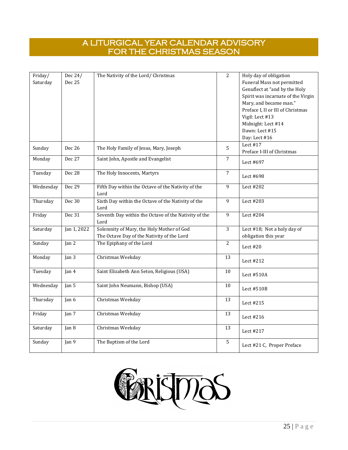### A LITURGICAL YEAR CALENDAR ADVISORY FOR THE CHRISTMAS SEASON

| Friday/<br>Saturday | Dec 24/<br>Dec 25 | The Nativity of the Lord/Christmas                                                      | $\overline{2}$ | Holy day of obligation<br>Funeral Mass not permitted<br>Genuflect at "and by the Holy<br>Spirit was incarnate of the Virgin<br>Mary, and became man."<br>Preface I, II or III of Christmas<br>Vigil: Lect #13<br>Midnight: Lect #14<br>Dawn: Lect #15<br>Day: Lect #16 |
|---------------------|-------------------|-----------------------------------------------------------------------------------------|----------------|------------------------------------------------------------------------------------------------------------------------------------------------------------------------------------------------------------------------------------------------------------------------|
| Sunday              | Dec 26            | The Holy Family of Jesus, Mary, Joseph                                                  | 5              | Lect #17<br>Preface I-III of Christmas                                                                                                                                                                                                                                 |
| Monday              | Dec 27            | Saint John, Apostle and Evangelist                                                      | 7              | Lect #697                                                                                                                                                                                                                                                              |
| Tuesday             | Dec 28            | The Holy Innocents, Martyrs                                                             | $\overline{7}$ | Lect #698                                                                                                                                                                                                                                                              |
| Wednesday           | Dec 29            | Fifth Day within the Octave of the Nativity of the<br>Lord                              | $\overline{9}$ | Lect #202                                                                                                                                                                                                                                                              |
| Thursday            | Dec 30            | Sixth Day within the Octave of the Nativity of the<br>Lord                              | 9              | Lect #203                                                                                                                                                                                                                                                              |
| Friday              | Dec 31            | Seventh Day within the Octave of the Nativity of the<br>Lord                            | 9              | Lect #204                                                                                                                                                                                                                                                              |
| Saturday            | Jan 1, 2022       | Solemnity of Mary, the Holy Mother of God<br>The Octave Day of the Nativity of the Lord | 3              | Lect #18; Not a holy day of<br>obligation this year                                                                                                                                                                                                                    |
| Sunday              | Jan 2             | The Epiphany of the Lord                                                                | $\overline{2}$ | Lect $#20$                                                                                                                                                                                                                                                             |
| Monday              | Jan 3             | Christmas Weekday                                                                       | 13             | Lect #212                                                                                                                                                                                                                                                              |
| Tuesday             | Jan 4             | Saint Elizabeth Ann Seton, Religious (USA)                                              | $10\,$         | Lect $#510A$                                                                                                                                                                                                                                                           |
| Wednesday           | Jan 5             | Saint John Neumann, Bishop (USA)                                                        | 10             | Lect #510B                                                                                                                                                                                                                                                             |
| Thursday            | Jan 6             | Christmas Weekday                                                                       | 13             | Lect #215                                                                                                                                                                                                                                                              |
| Friday              | Jan <sub>7</sub>  | Christmas Weekday                                                                       | 13             | Lect #216                                                                                                                                                                                                                                                              |
| Saturday            | Jan 8             | Christmas Weekday                                                                       | 13             | Lect #217                                                                                                                                                                                                                                                              |
| Sunday              | Jan 9             | The Baptism of the Lord                                                                 | $\mathbf 5$    | Lect #21 C, Proper Preface                                                                                                                                                                                                                                             |

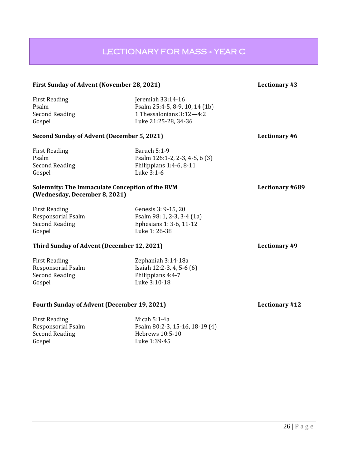# Ī LECTIONARY FOR MASS -- YEAR C

#### **First Sunday of Advent (November 28, 2021) Lectionary #3**

| Jeremiah $33:14-16$            |
|--------------------------------|
| Psalm 25:4-5, 8-9, 10, 14 (1b) |
| 1 Thessalonians $3:12-4:2$     |
| Luke 21:25-28, 34-36           |
|                                |

#### **Second Sunday of Advent (December 5, 2021) Lectionary #6**

| Baruch $5:1-9$                                              |
|-------------------------------------------------------------|
| Psalm 126:1-2, 2-3, 4-5, 6 (3)<br>Philippians $1:4-6, 8-11$ |
| Luke 3:1-6                                                  |
|                                                             |

#### **Solemnity: The Immaculate Conception of the BVM Lectionary #689 (Wednesday, December 8, 2021)**

| <b>First Reading</b> | Genesis 3: 9-15, 20        |
|----------------------|----------------------------|
| Responsorial Psalm   | Psalm 98: 1, 2-3, 3-4 (1a) |
| Second Reading       | Ephesians 1: 3-6, 11-12    |
| Gospel               | Luke 1: 26-38              |

#### **Third Sunday of Advent (December 12, 2021) Lectionary #9**

| Zephaniah 3:14-18a<br>Isaiah $12:2-3, 4, 5-6$ (6)<br>Philippians 4:4-7 |
|------------------------------------------------------------------------|
| Luke 3:10-18                                                           |
|                                                                        |

#### **Fourth Sunday of Advent (December 19, 2021) Lectionary #12**

| First Reading      | Micah $5:1-4a$                 |
|--------------------|--------------------------------|
| Responsorial Psalm | Psalm 80:2-3, 15-16, 18-19 (4) |
| Second Reading     | Hebrews 10:5-10                |
| Gospel             | Luke 1:39-45                   |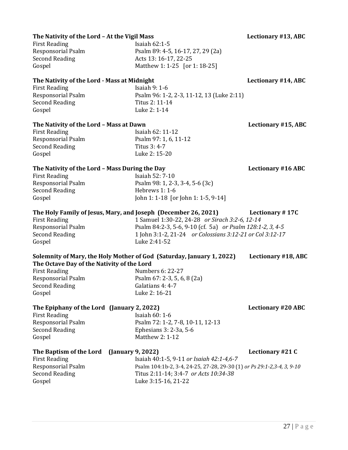#### **The Nativity of the Lord – At the Vigil Mass Lectionary #13, ABC**

| First Reading      | Isaiah $62:1-5$                   |  |
|--------------------|-----------------------------------|--|
| Responsorial Psalm | Psalm 89: 4-5, 16-17, 27, 29 (2a) |  |
| Second Reading     | Acts 13: 16-17, 22-25             |  |
| Gospel             | Matthew 1: 1-25 [or 1: 18-25]     |  |
|                    |                                   |  |

#### **The Nativity of the Lord - Mass at Midnight Lectionary #14, ABC**

First Reading Isaiah 9: 1-6 Second Reading Titus 2: 11-14 Gospel Luke 2: 1-14

Responsorial Psalm Psalm 96: 1-2, 2-3, 11-12, 13 (Luke 2:11)

#### **The Nativity of the Lord – Mass at Dawn Lectionary #15, ABC**

Responsorial Psalm Psalm Psalm 97: 1, 6, 11-12 Second Reading Titus 3: 4-7 Gospel Luke 2: 15-20

First Reading Isaiah 62: 11-12

#### **The Nativity of the Lord – Mass During the Day Lectionary #16 ABC**

First Reading Isaiah 52: 7-10 Second Reading Hebrews 1: 1-6

Responsorial Psalm Psalm 98: 1, 2-3, 3-4, 5-6 (3c) Gospel John 1: 1-18 [or John 1: 1-5, 9-14]

#### **The Holy Family of Jesus, Mary, and Joseph (December 26, 2021) Lectionary # 17C**

First Reading 1 Samuel 1:30-22, 24-28 *or Sirach 3:2-6, 12-14* Responsorial Psalm Psalm 84:2-3, 5-6, 9-10 (cf. 5a) *or Psalm 128:1-2, 3, 4-5* Second Reading 1 John 3:1-2, 21-24 *or Colossians 3:12-21 or Col 3:12-17* Gospel Luke 2:41-52

#### **Solemnity of Mary, the Holy Mother of God (Saturday, January 1, 2022) Lectionary #18, ABC The Octave Day of the Nativity of the Lord**

First Reading Numbers 6: 22-27 Responsorial Psalm Psalm Psalm 67: 2-3, 5, 6, 8 (2a) Second Reading Galatians 4: 4-7 Gospel Luke 2: 16-21

| The Epiphany of the Lord (January 2, 2022) |                                  | <b>Lectionary #20 ABC</b> |
|--------------------------------------------|----------------------------------|---------------------------|
| <b>First Reading</b>                       | Isaiah $60:1-6$                  |                           |
| Responsorial Psalm                         | Psalm 72: 1-2, 7-8, 10-11, 12-13 |                           |
| Second Reading                             | Ephesians $3: 2-3a, 5-6$         |                           |
| Gospel                                     | Matthew 2: 1-12                  |                           |
|                                            |                                  |                           |

#### **The Baptism of the Lord (January 9, 2022) Lectionary #21 C**  First Reading Isaiah 40:1-5, 9-11 *or Isaiah 42:1-4,6-7*  Responsorial Psalm Psalm 104:1b-2, 3-4, 24-25, 27-28, 29-30 (1) *or Ps 29:1-2,3-4, 3, 9-10*  Second Reading Titus 2:11-14; 3:4-7 *or Acts 10:34-38* Gospel Luke 3:15-16, 21-22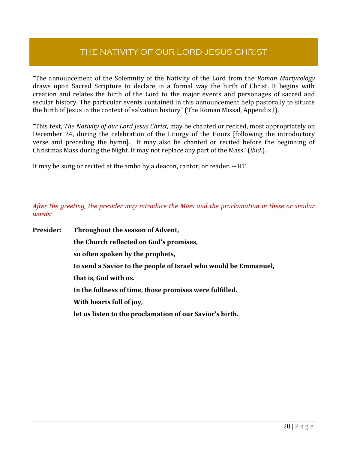# THE NATIVITY OF OUR LORD JESUS CHRIST

"The announcement of the Solemnity of the Nativity of the Lord from the *Roman Martyrology* draws upon Sacred Scripture to declare in a formal way the birth of Christ. It begins with creation and relates the birth of the Lord to the major events and personages of sacred and secular history. The particular events contained in this announcement help pastorally to situate the birth of Jesus in the context of salvation history" (The Roman Missal, Appendix I).

"This text, *The Nativity of our Lord Jesus Christ,* may be chanted or recited, most appropriately on December 24, during the celebration of the Liturgy of the Hours [following the introductory verse and preceding the hymn]. It may also be chanted or recited before the beginning of Christmas Mass during the Night. It may not replace any part of the Mass" (*ibid*.).

It may be sung or recited at the ambo by a deacon, cantor, or reader. -- RT

*After the greeting, the presider may introduce the Mass and the proclamation in these or similar words:*

**Presider: Throughout the season of Advent, the Church reflected on God's promises, so often spoken by the prophets, to send a Savior to the people of Israel who would be Emmanuel, that is, God with us. In the fullness of time, those promises were fulfilled. With hearts full of joy, let us listen to the proclamation of our Savior's birth.**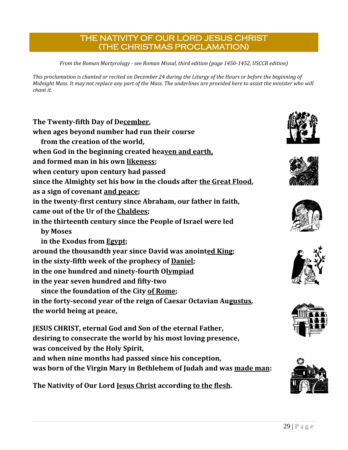### THE NATIVITY OF OUR LORD JESUS CHRIST (THE CHRISTMAS PROCLAMATION)

*From the Roman Martyrology - see Roman Missal, third edition (page 1450-1452, USCCB edition)*

*This proclamation is chanted or recited on December 24 during the Liturgy of the Hours or before the beginning of Midnight Mass. It may not replace any part of the Mass. The underlines are provided here to assist the minister who will chant it.*

**The Twenty-fifth Day of December, when ages beyond number had run their course from the creation of the world, when God in the beginning created heaven and earth, and formed man in his own likeness; when century upon century had passed since the Almighty set his bow in the clouds after the Great Flood, as a sign of covenant and peace; in the twenty-first century since Abraham, our father in faith, came out of the Ur of the Chaldees; in the thirteenth century since the People of Israel were led by Moses in the Exodus from Egypt; around the thousandth year since David was anointed King; in the sixty-fifth week of the prophecy of Daniel; in the one hundred and ninety-fourth Olympiad in the year seven hundred and fifty-two since the foundation of the City of Rome; in the forty-second year of the reign of Caesar Octavian Augustus***,* **the world being at peace,** 

**JESUS CHRIST, eternal God and Son of the eternal Father, desiring to consecrate the world by his most loving presence, was conceived by the Holy Spirit, and when nine months had passed since his conception, was born of the Virgin Mary in Bethlehem of Judah and was made man:**

**The Nativity of Our Lord Jesus Christ according to the flesh.**











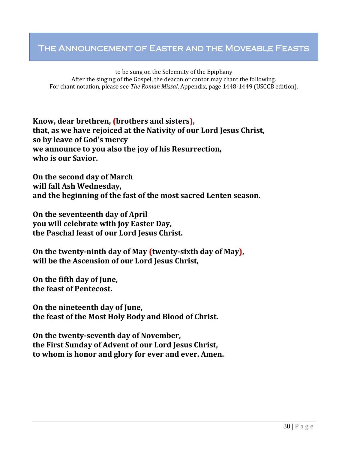# The Announcement of Easter and the Moveable Feasts

i

to be sung on the Solemnity of the Epiphany After the singing of the Gospel, the deacon or cantor may chant the following. For chant notation, please see *The Roman Missal*, Appendix, page 1448-1449 (USCCB edition).

**Know, dear brethren, (brothers and sisters), that, as we have rejoiced at the Nativity of our Lord Jesus Christ, so by leave of God's mercy we announce to you also the joy of his Resurrection, who is our Savior.**

**On the second day of March will fall Ash Wednesday, and the beginning of the fast of the most sacred Lenten season.**

**On the seventeenth day of April you will celebrate with joy Easter Day, the Paschal feast of our Lord Jesus Christ.**

**On the twenty-ninth day of May (twenty-sixth day of May), will be the Ascension of our Lord Jesus Christ,**

**On the fifth day of June, the feast of Pentecost.**

**On the nineteenth day of June, the feast of the Most Holy Body and Blood of Christ.**

**On the twenty-seventh day of November, the First Sunday of Advent of our Lord Jesus Christ, to whom is honor and glory for ever and ever. Amen.**